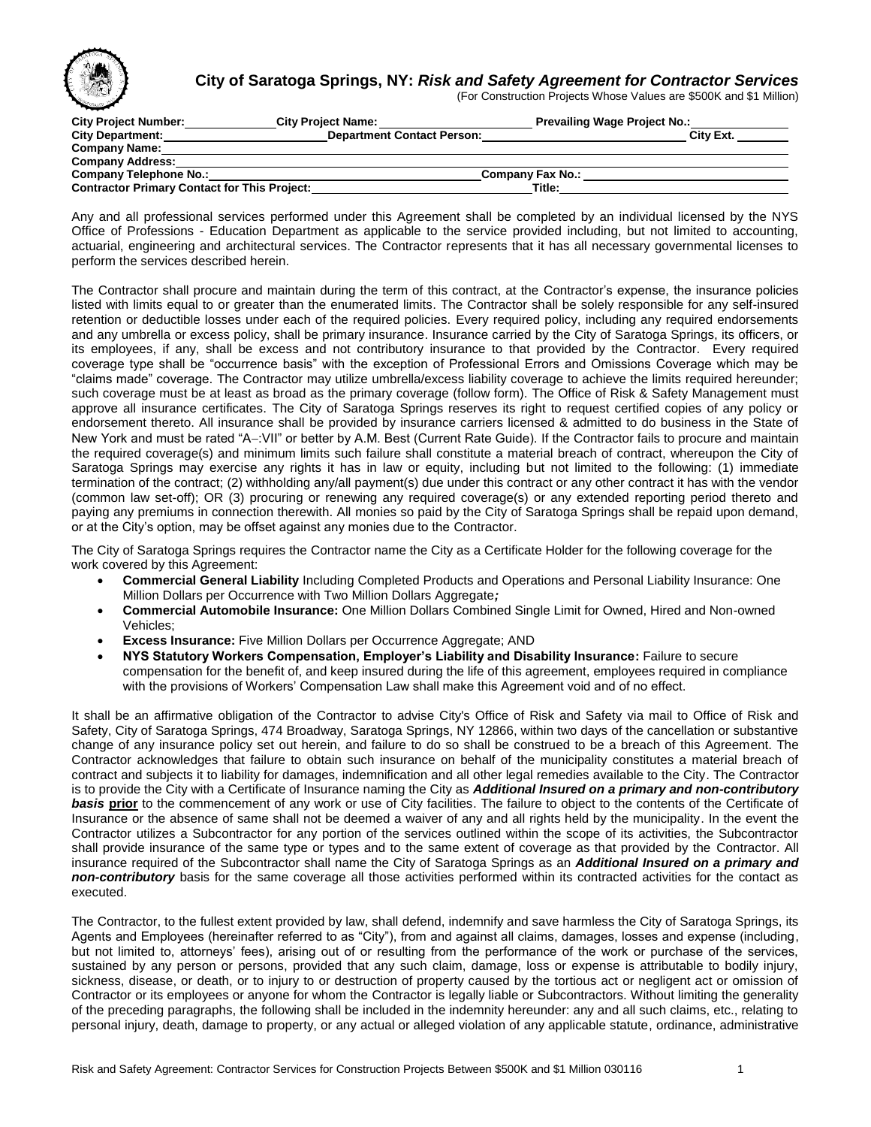

## **City of Saratoga Springs, NY:** *Risk and Safety Agreement for Contractor Services*

(For Construction Projects Whose Values are \$500K and \$1 Million)

| <b>City Project Number:</b>                         | <b>City Project Name:</b>         | <b>Prevailing Wage Project No.:</b> |           |
|-----------------------------------------------------|-----------------------------------|-------------------------------------|-----------|
| <b>City Department:</b>                             | <b>Department Contact Person:</b> |                                     | City Ext. |
| <b>Company Name:</b>                                |                                   |                                     |           |
| <b>Company Address:</b>                             |                                   |                                     |           |
| <b>Company Telephone No.:</b>                       |                                   | <b>Company Fax No.:</b>             |           |
| <b>Contractor Primary Contact for This Project:</b> |                                   | Title:                              |           |

Any and all professional services performed under this Agreement shall be completed by an individual licensed by the NYS Office of Professions - Education Department as applicable to the service provided including, but not limited to accounting, actuarial, engineering and architectural services. The Contractor represents that it has all necessary governmental licenses to perform the services described herein.

The Contractor shall procure and maintain during the term of this contract, at the Contractor's expense, the insurance policies listed with limits equal to or greater than the enumerated limits. The Contractor shall be solely responsible for any self-insured retention or deductible losses under each of the required policies. Every required policy, including any required endorsements and any umbrella or excess policy, shall be primary insurance. Insurance carried by the City of Saratoga Springs, its officers, or its employees, if any, shall be excess and not contributory insurance to that provided by the Contractor. Every required coverage type shall be "occurrence basis" with the exception of Professional Errors and Omissions Coverage which may be "claims made" coverage. The Contractor may utilize umbrella/excess liability coverage to achieve the limits required hereunder; such coverage must be at least as broad as the primary coverage (follow form). The Office of Risk & Safety Management must approve all insurance certificates. The City of Saratoga Springs reserves its right to request certified copies of any policy or endorsement thereto. All insurance shall be provided by insurance carriers licensed & admitted to do business in the State of New York and must be rated "A-:VII" or better by A.M. Best (Current Rate Guide). If the Contractor fails to procure and maintain the required coverage(s) and minimum limits such failure shall constitute a material breach of contract, whereupon the City of Saratoga Springs may exercise any rights it has in law or equity, including but not limited to the following: (1) immediate termination of the contract; (2) withholding any/all payment(s) due under this contract or any other contract it has with the vendor (common law set-off); OR (3) procuring or renewing any required coverage(s) or any extended reporting period thereto and paying any premiums in connection therewith. All monies so paid by the City of Saratoga Springs shall be repaid upon demand, or at the City's option, may be offset against any monies due to the Contractor.

The City of Saratoga Springs requires the Contractor name the City as a Certificate Holder for the following coverage for the work covered by this Agreement:

- **Commercial General Liability** Including Completed Products and Operations and Personal Liability Insurance: One Million Dollars per Occurrence with Two Million Dollars Aggregate*;*
- **Commercial Automobile Insurance:** One Million Dollars Combined Single Limit for Owned, Hired and Non-owned Vehicles;
- **Excess Insurance:** Five Million Dollars per Occurrence Aggregate; AND
- **NYS Statutory Workers Compensation, Employer's Liability and Disability Insurance:** Failure to secure compensation for the benefit of, and keep insured during the life of this agreement, employees required in compliance with the provisions of Workers' Compensation Law shall make this Agreement void and of no effect.

It shall be an affirmative obligation of the Contractor to advise City's Office of Risk and Safety via mail to Office of Risk and Safety, City of Saratoga Springs, 474 Broadway, Saratoga Springs, NY 12866, within two days of the cancellation or substantive change of any insurance policy set out herein, and failure to do so shall be construed to be a breach of this Agreement. The Contractor acknowledges that failure to obtain such insurance on behalf of the municipality constitutes a material breach of contract and subjects it to liability for damages, indemnification and all other legal remedies available to the City. The Contractor is to provide the City with a Certificate of Insurance naming the City as *Additional Insured on a primary and non-contributory basis* **prior** to the commencement of any work or use of City facilities. The failure to object to the contents of the Certificate of Insurance or the absence of same shall not be deemed a waiver of any and all rights held by the municipality. In the event the Contractor utilizes a Subcontractor for any portion of the services outlined within the scope of its activities, the Subcontractor shall provide insurance of the same type or types and to the same extent of coverage as that provided by the Contractor. All insurance required of the Subcontractor shall name the City of Saratoga Springs as an *Additional Insured on a primary and non-contributory* basis for the same coverage all those activities performed within its contracted activities for the contact as executed.

The Contractor, to the fullest extent provided by law, shall defend, indemnify and save harmless the City of Saratoga Springs, its Agents and Employees (hereinafter referred to as "City"), from and against all claims, damages, losses and expense (including, but not limited to, attorneys' fees), arising out of or resulting from the performance of the work or purchase of the services, sustained by any person or persons, provided that any such claim, damage, loss or expense is attributable to bodily injury, sickness, disease, or death, or to injury to or destruction of property caused by the tortious act or negligent act or omission of Contractor or its employees or anyone for whom the Contractor is legally liable or Subcontractors. Without limiting the generality of the preceding paragraphs, the following shall be included in the indemnity hereunder: any and all such claims, etc., relating to personal injury, death, damage to property, or any actual or alleged violation of any applicable statute, ordinance, administrative